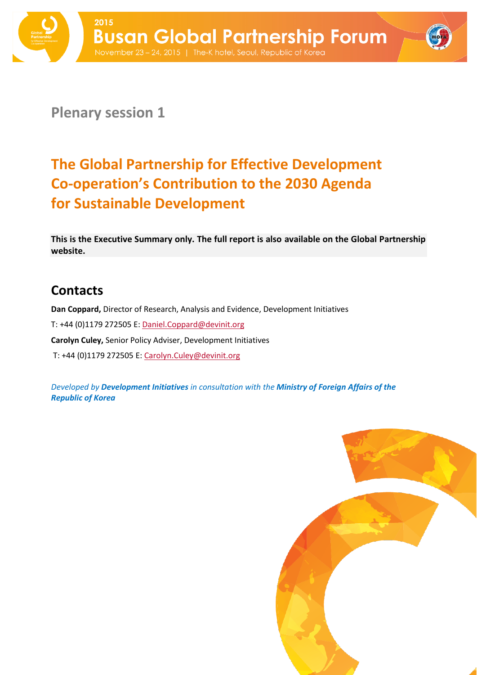

**Plenary session 1**

# **The Global Partnership for Effective Development Co-operation's Contribution to the 2030 Agenda for Sustainable Development**

**This is the Executive Summary only. The full report is also available on the Global Partnership website.**

## **Contacts**

**Dan Coppard,** Director of Research, Analysis and Evidence, Development Initiatives

T: +44 (0)1179 272505 E[: Daniel.Coppard@devinit.org](mailto:Daniel.Coppard@devinit.org)

**Carolyn Culey,** Senior Policy Adviser, Development Initiatives

T: +44 (0)1179 272505 E: [Carolyn.Culey@devinit.org](mailto:Carolyn.Culey@devinit.org)

*Developed by Development Initiatives in consultation with the Ministry of Foreign Affairs of the Republic of Korea*

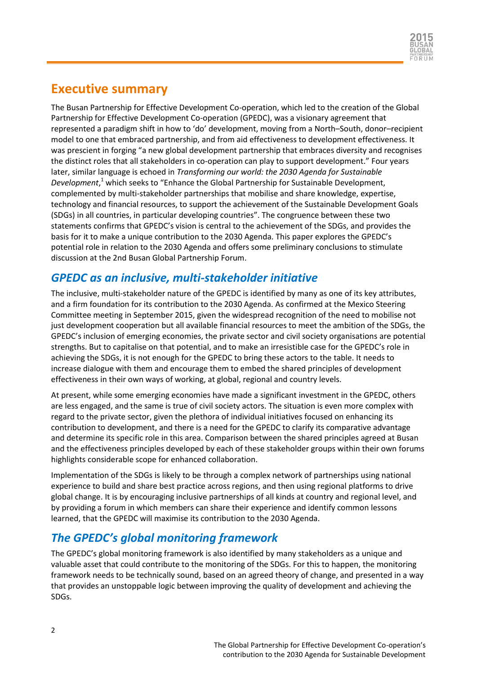

#### **Executive summary**

The Busan Partnership for Effective Development Co-operation, which led to the creation of the Global Partnership for Effective Development Co-operation (GPEDC), was a visionary agreement that represented a paradigm shift in how to 'do' development, moving from a North–South, donor–recipient model to one that embraced partnership, and from aid effectiveness to development effectiveness. It was prescient in forging "a new global development partnership that embraces diversity and recognises the distinct roles that all stakeholders in co-operation can play to support development." Four years later, similar language is echoed in *Transforming our world: the 2030 Agenda for Sustainable Development*, <sup>1</sup> which seeks to "Enhance the Global Partnership for Sustainable Development, complemented by multi-stakeholder partnerships that mobilise and share knowledge, expertise, technology and financial resources, to support the achievement of the Sustainable Development Goals (SDGs) in all countries, in particular developing countries". The congruence between these two statements confirms that GPEDC's vision is central to the achievement of the SDGs, and provides the basis for it to make a unique contribution to the 2030 Agenda. This paper explores the GPEDC's potential role in relation to the 2030 Agenda and offers some preliminary conclusions to stimulate discussion at the 2nd Busan Global Partnership Forum.

#### *GPEDC as an inclusive, multi-stakeholder initiative*

The inclusive, multi-stakeholder nature of the GPEDC is identified by many as one of its key attributes, and a firm foundation for its contribution to the 2030 Agenda. As confirmed at the Mexico Steering Committee meeting in September 2015, given the widespread recognition of the need to mobilise not just development cooperation but all available financial resources to meet the ambition of the SDGs, the GPEDC's inclusion of emerging economies, the private sector and civil society organisations are potential strengths. But to capitalise on that potential, and to make an irresistible case for the GPEDC's role in achieving the SDGs, it is not enough for the GPEDC to bring these actors to the table. It needs to increase dialogue with them and encourage them to embed the shared principles of development effectiveness in their own ways of working, at global, regional and country levels.

At present, while some emerging economies have made a significant investment in the GPEDC, others are less engaged, and the same is true of civil society actors. The situation is even more complex with regard to the private sector, given the plethora of individual initiatives focused on enhancing its contribution to development, and there is a need for the GPEDC to clarify its comparative advantage and determine its specific role in this area. Comparison between the shared principles agreed at Busan and the effectiveness principles developed by each of these stakeholder groups within their own forums highlights considerable scope for enhanced collaboration.

Implementation of the SDGs is likely to be through a complex network of partnerships using national experience to build and share best practice across regions, and then using regional platforms to drive global change. It is by encouraging inclusive partnerships of all kinds at country and regional level, and by providing a forum in which members can share their experience and identify common lessons learned, that the GPEDC will maximise its contribution to the 2030 Agenda.

### *The GPEDC's global monitoring framework*

The GPEDC's global monitoring framework is also identified by many stakeholders as a unique and valuable asset that could contribute to the monitoring of the SDGs. For this to happen, the monitoring framework needs to be technically sound, based on an agreed theory of change, and presented in a way that provides an unstoppable logic between improving the quality of development and achieving the SDGs.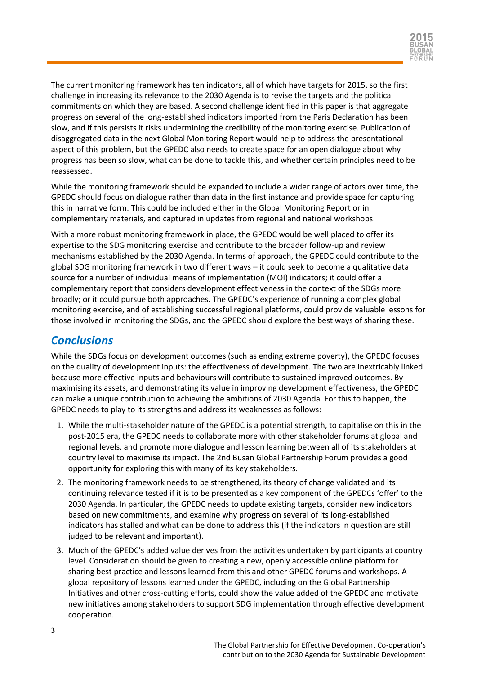

The current monitoring framework has ten indicators, all of which have targets for 2015, so the first challenge in increasing its relevance to the 2030 Agenda is to revise the targets and the political commitments on which they are based. A second challenge identified in this paper is that aggregate progress on several of the long-established indicators imported from the Paris Declaration has been slow, and if this persists it risks undermining the credibility of the monitoring exercise. Publication of disaggregated data in the next Global Monitoring Report would help to address the presentational aspect of this problem, but the GPEDC also needs to create space for an open dialogue about why progress has been so slow, what can be done to tackle this, and whether certain principles need to be reassessed.

While the monitoring framework should be expanded to include a wider range of actors over time, the GPEDC should focus on dialogue rather than data in the first instance and provide space for capturing this in narrative form. This could be included either in the Global Monitoring Report or in complementary materials, and captured in updates from regional and national workshops.

With a more robust monitoring framework in place, the GPEDC would be well placed to offer its expertise to the SDG monitoring exercise and contribute to the broader follow-up and review mechanisms established by the 2030 Agenda. In terms of approach, the GPEDC could contribute to the global SDG monitoring framework in two different ways – it could seek to become a qualitative data source for a number of individual means of implementation (MOI) indicators; it could offer a complementary report that considers development effectiveness in the context of the SDGs more broadly; or it could pursue both approaches. The GPEDC's experience of running a complex global monitoring exercise, and of establishing successful regional platforms, could provide valuable lessons for those involved in monitoring the SDGs, and the GPEDC should explore the best ways of sharing these.

#### *Conclusions*

While the SDGs focus on development outcomes (such as ending extreme poverty), the GPEDC focuses on the quality of development inputs: the effectiveness of development. The two are inextricably linked because more effective inputs and behaviours will contribute to sustained improved outcomes. By maximising its assets, and demonstrating its value in improving development effectiveness, the GPEDC can make a unique contribution to achieving the ambitions of 2030 Agenda. For this to happen, the GPEDC needs to play to its strengths and address its weaknesses as follows:

- 1. While the multi-stakeholder nature of the GPEDC is a potential strength, to capitalise on this in the post-2015 era, the GPEDC needs to collaborate more with other stakeholder forums at global and regional levels, and promote more dialogue and lesson learning between all of its stakeholders at country level to maximise its impact. The 2nd Busan Global Partnership Forum provides a good opportunity for exploring this with many of its key stakeholders.
- 2. The monitoring framework needs to be strengthened, its theory of change validated and its continuing relevance tested if it is to be presented as a key component of the GPEDCs 'offer' to the 2030 Agenda. In particular, the GPEDC needs to update existing targets, consider new indicators based on new commitments, and examine why progress on several of its long-established indicators has stalled and what can be done to address this (if the indicators in question are still judged to be relevant and important).
- 3. Much of the GPEDC's added value derives from the activities undertaken by participants at country level. Consideration should be given to creating a new, openly accessible online platform for sharing best practice and lessons learned from this and other GPEDC forums and workshops. A global repository of lessons learned under the GPEDC, including on the Global Partnership Initiatives and other cross-cutting efforts, could show the value added of the GPEDC and motivate new initiatives among stakeholders to support SDG implementation through effective development cooperation.